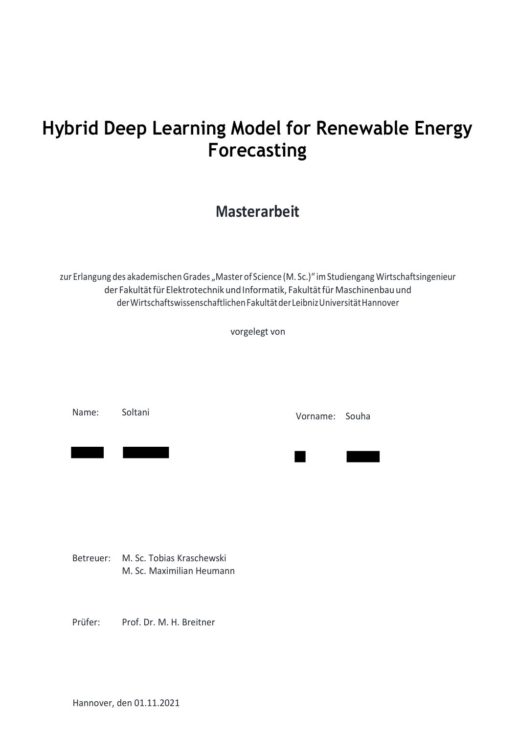# **Hybrid Deep Learning Model for Renewable Energy Forecasting**

## **Masterarbeit**

zur Erlangung des akademischen Grades "Master of Science (M. Sc.)" im Studiengang Wirtschaftsingenieur der Fakultät für Elektrotechnik und Informatik, Fakultät für Maschinenbau und derWirtschaftswissenschaftlichenFakultätderLeibnizUniversitätHannover

vorgelegt von

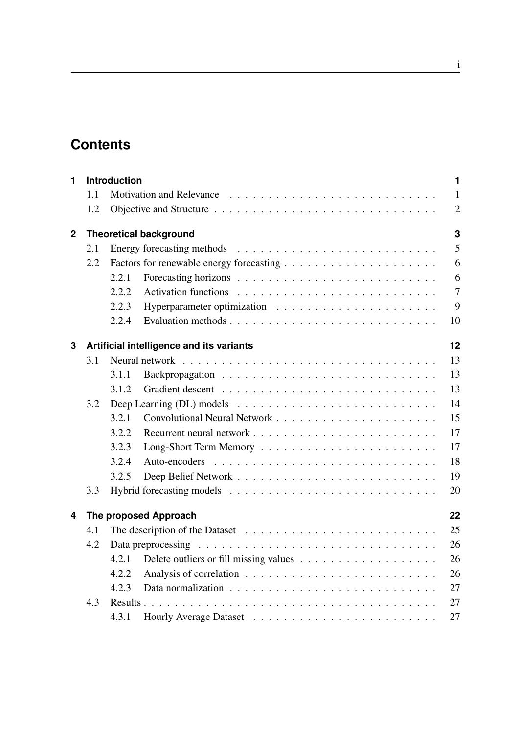# **Contents**

| 1            | <b>Introduction</b><br>$\blacksquare$ |                                                |    |                |  |  |  |
|--------------|---------------------------------------|------------------------------------------------|----|----------------|--|--|--|
|              | 1.1                                   |                                                |    | $\mathbf{1}$   |  |  |  |
|              | 1.2                                   |                                                |    | $\overline{2}$ |  |  |  |
| $\mathbf{2}$ |                                       | 3<br><b>Theoretical background</b>             |    |                |  |  |  |
|              | 2.1                                   |                                                |    | 5              |  |  |  |
|              | 2.2                                   |                                                |    | 6              |  |  |  |
|              |                                       | 2.2.1                                          |    | 6              |  |  |  |
|              |                                       | 2.2.2                                          |    | $\overline{7}$ |  |  |  |
|              |                                       | 2.2.3                                          |    | 9              |  |  |  |
|              |                                       | 2.2.4                                          |    | 10             |  |  |  |
| 3            |                                       | 12<br>Artificial intelligence and its variants |    |                |  |  |  |
|              | 3.1                                   |                                                |    | 13             |  |  |  |
|              |                                       | 3.1.1                                          |    | 13             |  |  |  |
|              |                                       | 3.1.2                                          |    | 13             |  |  |  |
|              | 3.2                                   |                                                | 14 |                |  |  |  |
|              |                                       | 3.2.1                                          |    | 15             |  |  |  |
|              |                                       | 3.2.2                                          |    | 17             |  |  |  |
|              |                                       | 3.2.3                                          |    | 17             |  |  |  |
|              |                                       | 3.2.4                                          |    | 18             |  |  |  |
|              |                                       | 3.2.5                                          |    | 19             |  |  |  |
|              | 3.3                                   |                                                |    | 20             |  |  |  |
| 4            | 22<br>The proposed Approach           |                                                |    |                |  |  |  |
|              | 4.1                                   |                                                |    | 25             |  |  |  |
|              | 4.2                                   |                                                |    | 26             |  |  |  |
|              |                                       | 4.2.1                                          |    | 26             |  |  |  |
|              |                                       | 4.2.2                                          |    | 26             |  |  |  |
|              |                                       | 4.2.3                                          |    | 27             |  |  |  |
|              | 4.3                                   | Results.                                       |    | 27             |  |  |  |
|              |                                       | 4.3.1                                          |    | 27             |  |  |  |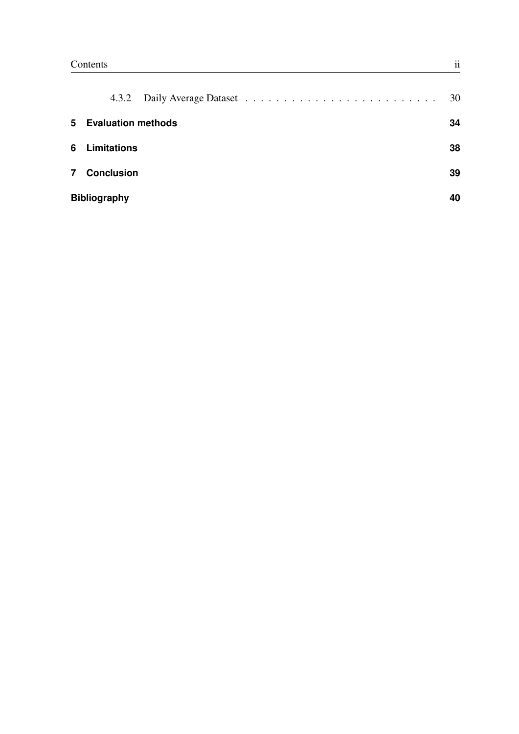|                | 4.3.2                     |  | 30 |  |  |
|----------------|---------------------------|--|----|--|--|
| 5              | <b>Evaluation methods</b> |  |    |  |  |
| 6.             | <b>Limitations</b>        |  | 38 |  |  |
| $\overline{7}$ | <b>Conclusion</b>         |  | 39 |  |  |
|                | <b>Bibliography</b>       |  |    |  |  |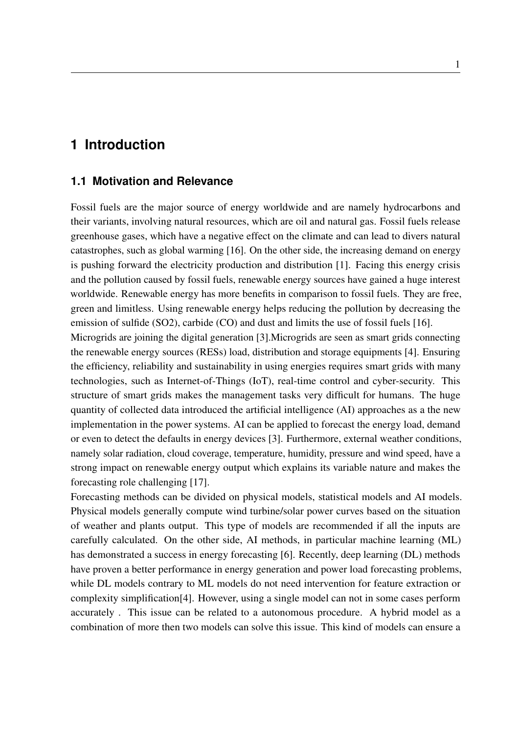### <span id="page-3-0"></span>**1 Introduction**

#### <span id="page-3-1"></span>**1.1 Motivation and Relevance**

Fossil fuels are the major source of energy worldwide and are namely hydrocarbons and their variants, involving natural resources, which are oil and natural gas. Fossil fuels release greenhouse gases, which have a negative effect on the climate and can lead to divers natural catastrophes, such as global warming [\[16\]](#page--1-19). On the other side, the increasing demand on energy is pushing forward the electricity production and distribution [\[1\]](#page--1-20). Facing this energy crisis and the pollution caused by fossil fuels, renewable energy sources have gained a huge interest worldwide. Renewable energy has more benefits in comparison to fossil fuels. They are free, green and limitless. Using renewable energy helps reducing the pollution by decreasing the emission of sulfide (SO2), carbide (CO) and dust and limits the use of fossil fuels [\[16\]](#page--1-19).

Microgrids are joining the digital generation [\[3\]](#page--1-21).Microgrids are seen as smart grids connecting the renewable energy sources (RESs) load, distribution and storage equipments [\[4\]](#page--1-22). Ensuring the efficiency, reliability and sustainability in using energies requires smart grids with many technologies, such as Internet-of-Things (IoT), real-time control and cyber-security. This structure of smart grids makes the management tasks very difficult for humans. The huge quantity of collected data introduced the artificial intelligence (AI) approaches as a the new implementation in the power systems. AI can be applied to forecast the energy load, demand or even to detect the defaults in energy devices [\[3\]](#page--1-21). Furthermore, external weather conditions, namely solar radiation, cloud coverage, temperature, humidity, pressure and wind speed, have a strong impact on renewable energy output which explains its variable nature and makes the forecasting role challenging [\[17\]](#page--1-23).

Forecasting methods can be divided on physical models, statistical models and AI models. Physical models generally compute wind turbine/solar power curves based on the situation of weather and plants output. This type of models are recommended if all the inputs are carefully calculated. On the other side, AI methods, in particular machine learning (ML) has demonstrated a success in energy forecasting [\[6\]](#page--1-24). Recently, deep learning (DL) methods have proven a better performance in energy generation and power load forecasting problems, while DL models contrary to ML models do not need intervention for feature extraction or complexity simplification[\[4\]](#page--1-22). However, using a single model can not in some cases perform accurately . This issue can be related to a autonomous procedure. A hybrid model as a combination of more then two models can solve this issue. This kind of models can ensure a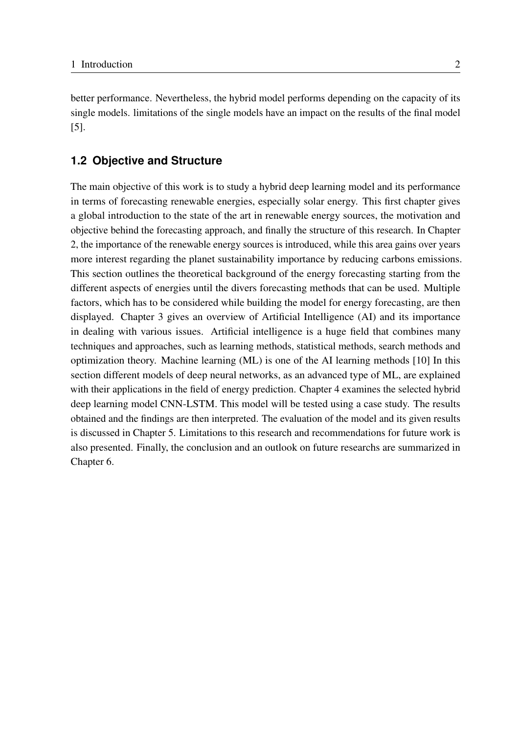better performance. Nevertheless, the hybrid model performs depending on the capacity of its single models. limitations of the single models have an impact on the results of the final model [\[5\]](#page--1-25).

#### <span id="page-4-0"></span>**1.2 Objective and Structure**

The main objective of this work is to study a hybrid deep learning model and its performance in terms of forecasting renewable energies, especially solar energy. This first chapter gives a global introduction to the state of the art in renewable energy sources, the motivation and objective behind the forecasting approach, and finally the structure of this research. In Chapter 2, the importance of the renewable energy sources is introduced, while this area gains over years more interest regarding the planet sustainability importance by reducing carbons emissions. This section outlines the theoretical background of the energy forecasting starting from the different aspects of energies until the divers forecasting methods that can be used. Multiple factors, which has to be considered while building the model for energy forecasting, are then displayed. Chapter 3 gives an overview of Artificial Intelligence (AI) and its importance in dealing with various issues. Artificial intelligence is a huge field that combines many techniques and approaches, such as learning methods, statistical methods, search methods and optimization theory. Machine learning (ML) is one of the AI learning methods [\[10\]](#page--1-26) In this section different models of deep neural networks, as an advanced type of ML, are explained with their applications in the field of energy prediction. Chapter 4 examines the selected hybrid deep learning model CNN-LSTM. This model will be tested using a case study. The results obtained and the findings are then interpreted. The evaluation of the model and its given results is discussed in Chapter 5. Limitations to this research and recommendations for future work is also presented. Finally, the conclusion and an outlook on future researchs are summarized in Chapter 6.